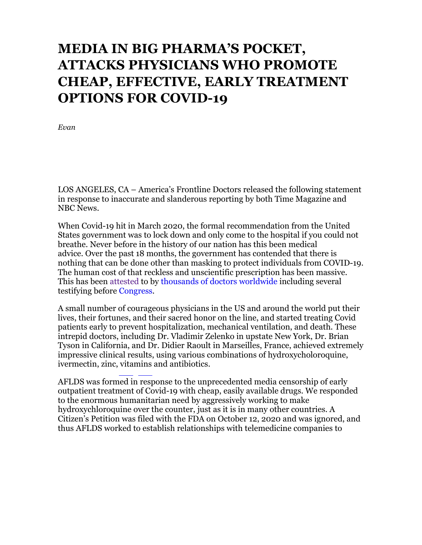## **MEDIA IN BIG PHARMA'S POCKET, ATTACKS PHYSICIANS WHO PROMOTE CHEAP, EFFECTIVE, EARLY TREATMENT OPTIONS FOR COVID-19**

*Evan*

LOS ANGELES, CA – America's Frontline Doctors released the following statement in response to inaccurate and slanderous reporting by both Time Magazine and NBC News.

When Covid-19 hit in March 2020, the formal recommendation from the United States government was to lock down and only come to the hospital if you could not breathe. Never before in the history of our nation has this been medical advice. Over the past 18 months, the government has contended that there is nothing that can be done other than masking to protect individuals from COVID-19. The human cost of that reckless and unscientific prescription has been massive. This has been attested to by thousands of doctors worldwide including several testifying before Congress.

A small number of courageous physicians in the US and around the world put their lives, their fortunes, and their sacred honor on the line, and started treating Covid patients early to prevent hospitalization, mechanical ventilation, and death. These intrepid doctors, including Dr. Vladimir Zelenko in upstate New York, Dr. Brian Tyson in California, and Dr. Didier Raoult in Marseilles, France, achieved extremely impressive clinical results, using various combinations of hydroxycholoroquine, ivermectin, zinc, vitamins and antibiotics.

AFLDS was formed in response to the unprecedented media censorship of early outpatient treatment of Covid-19 with cheap, easily available drugs. We responded to the enormous humanitarian need by aggressively working to make hydroxychloroquine over the counter, just as it is in many other countries. A Citizen's Petition was filed with the FDA on October 12, 2020 and was ignored, and thus AFLDS worked to establish relationships with telemedicine companies to